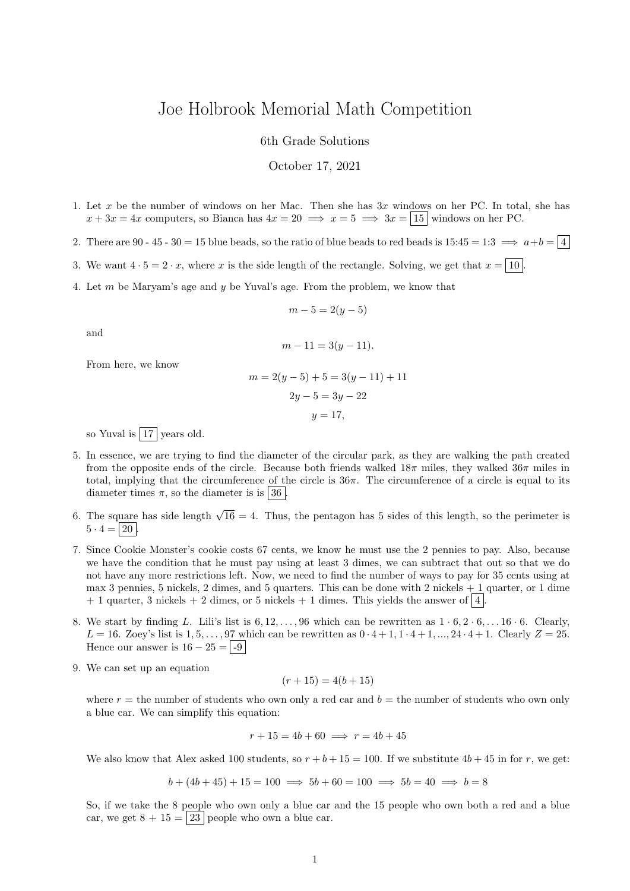## Joe Holbrook Memorial Math Competition

6th Grade Solutions

October 17, 2021

- 1. Let x be the number of windows on her Mac. Then she has  $3x$  windows on her PC. In total, she has  $x + 3x = 4x$  computers, so Bianca has  $4x = 20 \implies x = 5 \implies 3x = |15|$  windows on her PC.
- 2. There are 90 45 30 = 15 blue beads, so the ratio of blue beads to red beads is  $15:45 = 1:3 \implies a+b = \boxed{4}$
- 3. We want  $4 \cdot 5 = 2 \cdot x$ , where x is the side length of the rectangle. Solving, we get that  $x = |10|$ .
- 4. Let m be Maryam's age and y be Yuval's age. From the problem, we know that

$$
m-5=2(y-5)
$$

and

$$
m - 11 = 3(y - 11).
$$

From here, we know

$$
m = 2(y - 5) + 5 = 3(y - 11) + 11
$$

$$
2y - 5 = 3y - 22
$$

$$
y = 17,
$$

so Yuval is  $\boxed{17}$  years old.

- 5. In essence, we are trying to find the diameter of the circular park, as they are walking the path created from the opposite ends of the circle. Because both friends walked  $18\pi$  miles, they walked  $36\pi$  miles in total, implying that the circumference of the circle is  $36\pi$ . The circumference of a circle is equal to its diameter times  $\pi$ , so the diameter is is 36.
- 6. The square has side length  $\sqrt{16} = 4$ . Thus, the pentagon has 5 sides of this length, so the perimeter is  $5 \cdot 4 = 20$
- 7. Since Cookie Monster's cookie costs 67 cents, we know he must use the 2 pennies to pay. Also, because we have the condition that he must pay using at least 3 dimes, we can subtract that out so that we do not have any more restrictions left. Now, we need to find the number of ways to pay for 35 cents using at max 3 pennies, 5 nickels, 2 dimes, and 5 quarters. This can be done with 2 nickels + 1 quarter, or 1 dime  $+ 1$  quarter, 3 nickels  $+ 2$  dimes, or 5 nickels  $+ 1$  dimes. This yields the answer of  $\boxed{4}$ .
- 8. We start by finding L. Lili's list is  $6, 12, \ldots, 96$  which can be rewritten as  $1 \cdot 6, 2 \cdot 6, \ldots, 16 \cdot 6$ . Clearly,  $L = 16$ . Zoey's list is  $1, 5, \ldots, 97$  which can be rewritten as  $0 \cdot 4 + 1, 1 \cdot 4 + 1, \ldots, 24 \cdot 4 + 1$ . Clearly  $Z = 25$ . Hence our answer is  $16 - 25 = -9$
- 9. We can set up an equation

$$
(r+15) = 4(b+15)
$$

where  $r =$  the number of students who own only a red car and  $b =$  the number of students who own only a blue car. We can simplify this equation:

$$
r + 15 = 4b + 60 \implies r = 4b + 45
$$

We also know that Alex asked 100 students, so  $r + b + 15 = 100$ . If we substitute  $4b + 45$  in for r, we get:

$$
b + (4b + 45) + 15 = 100 \implies 5b + 60 = 100 \implies 5b = 40 \implies b = 8
$$

So, if we take the 8 people who own only a blue car and the 15 people who own both a red and a blue car, we get  $8 + 15 = 23$  people who own a blue car.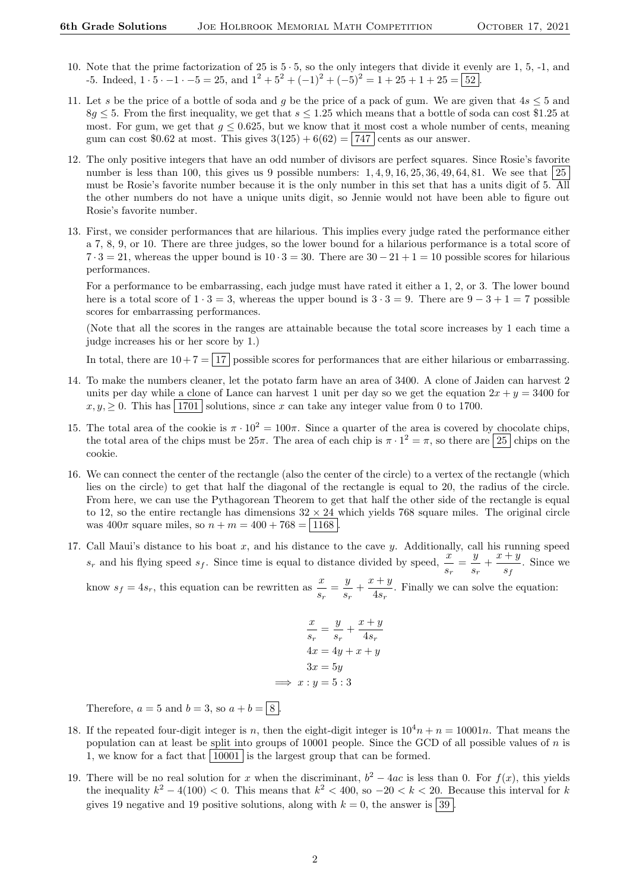- 10. Note that the prime factorization of 25 is  $5 \cdot 5$ , so the only integers that divide it evenly are 1, 5, -1, and -5. Indeed,  $1 \cdot 5 \cdot -1 \cdot -5 = 25$ , and  $1^2 + 5^2 + (-1)^2 + (-5)^2 = 1 + 25 + 1 + 25 = 52$ .
- 11. Let s be the price of a bottle of soda and q be the price of a pack of gum. We are given that  $4s \leq 5$  and  $8q \leq 5$ . From the first inequality, we get that  $s \leq 1.25$  which means that a bottle of soda can cost \$1.25 at most. For gum, we get that  $q \leq 0.625$ , but we know that it most cost a whole number of cents, meaning gum can cost \$0.62 at most. This gives  $3(125) + 6(62) = |747|$  cents as our answer.
- 12. The only positive integers that have an odd number of divisors are perfect squares. Since Rosie's favorite number is less than 100, this gives us 9 possible numbers:  $1, 4, 9, 16, 25, 36, 49, 64, 81$ . We see that  $25$ must be Rosie's favorite number because it is the only number in this set that has a units digit of 5. All the other numbers do not have a unique units digit, so Jennie would not have been able to figure out Rosie's favorite number.
- 13. First, we consider performances that are hilarious. This implies every judge rated the performance either a 7, 8, 9, or 10. There are three judges, so the lower bound for a hilarious performance is a total score of  $7 \cdot 3 = 21$ , whereas the upper bound is  $10 \cdot 3 = 30$ . There are  $30 - 21 + 1 = 10$  possible scores for hilarious performances.

For a performance to be embarrassing, each judge must have rated it either a 1, 2, or 3. The lower bound here is a total score of  $1 \cdot 3 = 3$ , whereas the upper bound is  $3 \cdot 3 = 9$ . There are  $9 - 3 + 1 = 7$  possible scores for embarrassing performances.

(Note that all the scores in the ranges are attainable because the total score increases by 1 each time a judge increases his or her score by 1.)

In total, there are  $10+7 = |17|$  possible scores for performances that are either hilarious or embarrassing.

- 14. To make the numbers cleaner, let the potato farm have an area of 3400. A clone of Jaiden can harvest 2 units per day while a clone of Lance can harvest 1 unit per day so we get the equation  $2x + y = 3400$  for  $x, y, \geq 0$ . This has 1701 solutions, since x can take any integer value from 0 to 1700.
- 15. The total area of the cookie is  $\pi \cdot 10^2 = 100\pi$ . Since a quarter of the area is covered by chocolate chips, the total area of the chips must be  $25\pi$ . The area of each chip is  $\pi \cdot 1^2 = \pi$ , so there are  $\boxed{25}$  chips on the cookie.
- 16. We can connect the center of the rectangle (also the center of the circle) to a vertex of the rectangle (which lies on the circle) to get that half the diagonal of the rectangle is equal to 20, the radius of the circle. From here, we can use the Pythagorean Theorem to get that half the other side of the rectangle is equal to 12, so the entire rectangle has dimensions  $32 \times 24$  which yields 768 square miles. The original circle was  $400\pi$  square miles, so  $n + m = 400 + 768 = |1168|$
- 17. Call Maui's distance to his boat  $x$ , and his distance to the cave  $y$ . Additionally, call his running speed  $s_r$  and his flying speed  $s_f$ . Since time is equal to distance divided by speed,  $\frac{x}{s_r} = \frac{y}{s_i}$  $\frac{y}{s_r} + \frac{x+y}{s_f}$  $\frac{1}{s_f}$ . Since we

know  $s_f = 4s_r$ , this equation can be rewritten as  $\frac{x}{s_r} = \frac{y}{s_r}$  $\frac{y}{s_r} + \frac{x+y}{4s_r}$  $\frac{4s}{4s_r}$ . Finally we can solve the equation:

$$
\frac{x}{s_r} = \frac{y}{s_r} + \frac{x+y}{4s_r}
$$

$$
4x = 4y + x + y
$$

$$
3x = 5y
$$

$$
\implies x : y = 5 : 3
$$

Therefore,  $a = 5$  and  $b = 3$ , so  $a + b = \boxed{8}$ .

- 18. If the repeated four-digit integer is n, then the eight-digit integer is  $10^4n + n = 10001n$ . That means the population can at least be split into groups of 10001 people. Since the GCD of all possible values of n is 1, we know for a fact that 10001 is the largest group that can be formed.
- 19. There will be no real solution for x when the discriminant,  $b^2 4ac$  is less than 0. For  $f(x)$ , this yields the inequality  $k^2 - 4(100) < 0$ . This means that  $k^2 < 400$ , so  $-20 < k < 20$ . Because this interval for k gives 19 negative and 19 positive solutions, along with  $k = 0$ , the answer is  $\boxed{39}$ .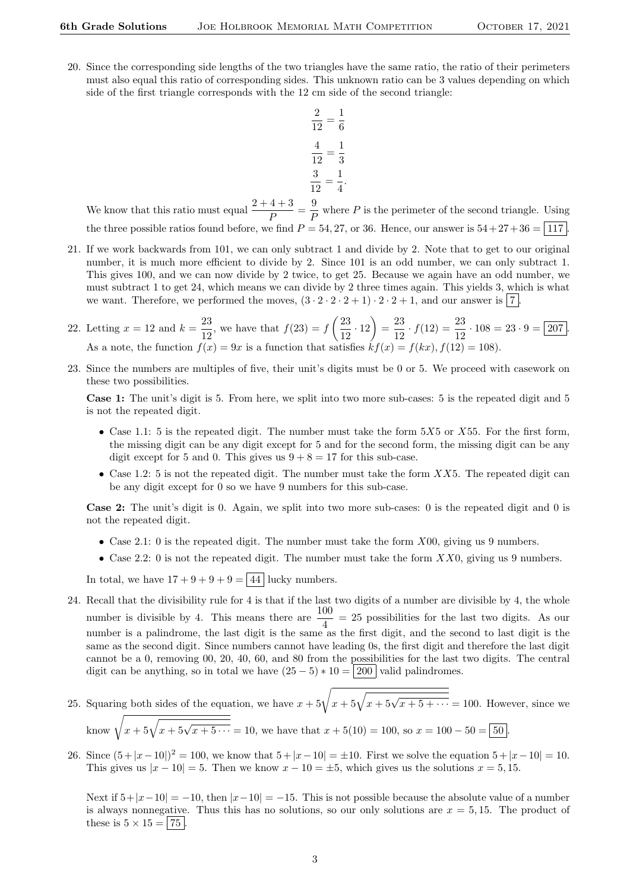20. Since the corresponding side lengths of the two triangles have the same ratio, the ratio of their perimeters must also equal this ratio of corresponding sides. This unknown ratio can be 3 values depending on which side of the first triangle corresponds with the 12 cm side of the second triangle:

$$
\frac{2}{12} = \frac{1}{6}
$$

$$
\frac{4}{12} = \frac{1}{3}
$$

$$
\frac{3}{12} = \frac{1}{4}
$$

We know that this ratio must equal  $\frac{2+4+3}{P} = \frac{9}{F}$  $\frac{\tilde{P}}{P}$  where P is the perimeter of the second triangle. Using the three possible ratios found before, we find  $P = 54, 27,$  or 36. Hence, our answer is  $54 + 27 + 36 = 117$ .

.

- 21. If we work backwards from 101, we can only subtract 1 and divide by 2. Note that to get to our original number, it is much more efficient to divide by 2. Since 101 is an odd number, we can only subtract 1. This gives 100, and we can now divide by 2 twice, to get 25. Because we again have an odd number, we must subtract 1 to get 24, which means we can divide by 2 three times again. This yields 3, which is what we want. Therefore, we performed the moves,  $(3 \cdot 2 \cdot 2 \cdot 2 + 1) \cdot 2 \cdot 2 + 1$ , and our answer is 7.
- 22. Letting  $x = 12$  and  $k = \frac{23}{12}$  $\frac{23}{12}$ , we have that  $f(23) = f\left(\frac{23}{12}\right)$  $\left(\frac{23}{12} \cdot 12\right) = \frac{23}{12}$  $\frac{23}{12} \cdot f(12) = \frac{23}{12} \cdot 108 = 23 \cdot 9 = \boxed{207}.$ As a note, the function  $f(x) = 9x$  is a function that satisfies  $kf(x) = f(kx)$ ,  $f(12) = 108$ .
- 23. Since the numbers are multiples of five, their unit's digits must be 0 or 5. We proceed with casework on these two possibilities.

Case 1: The unit's digit is 5. From here, we split into two more sub-cases: 5 is the repeated digit and 5 is not the repeated digit.

- Case 1.1: 5 is the repeated digit. The number must take the form  $5X5$  or  $X55$ . For the first form, the missing digit can be any digit except for 5 and for the second form, the missing digit can be any digit except for 5 and 0. This gives us  $9 + 8 = 17$  for this sub-case.
- Case 1.2: 5 is not the repeated digit. The number must take the form  $XX5$ . The repeated digit can be any digit except for 0 so we have 9 numbers for this sub-case.

Case 2: The unit's digit is 0. Again, we split into two more sub-cases: 0 is the repeated digit and 0 is not the repeated digit.

- Case 2.1: 0 is the repeated digit. The number must take the form  $X00$ , giving us 9 numbers.
- Case 2.2: 0 is not the repeated digit. The number must take the form  $XX0$ , giving us 9 numbers.

In total, we have  $17 + 9 + 9 + 9 = 44$  lucky numbers.

- 24. Recall that the divisibility rule for 4 is that if the last two digits of a number are divisible by 4, the whole number is divisible by 4. This means there are  $\frac{100}{4} = 25$  possibilities for the last two digits. As our number is a palindrome, the last digit is the same as the first digit, and the second to last digit is the same as the second digit. Since numbers cannot have leading 0s, the first digit and therefore the last digit cannot be a 0, removing 00, 20, 40, 60, and 80 from the possibilities for the last two digits. The central digit can be anything, so in total we have  $(25-5) * 10 = 200$  valid palindromes.
- 25. Squaring both sides of the equation, we have  $x + 5\sqrt{x + 5\sqrt{x + 5 + \cdots}} = 100$ . However, since we know  $\sqrt{x + 5\sqrt{x + 5\sqrt{x + 5\cdots}}} = 10$ , we have that  $x + 5(10) = 100$ , so  $x = 100 - 50 = 50$ .
- 26. Since  $(5+|x-10|)^2 = 100$ , we know that  $5+|x-10| = \pm 10$ . First we solve the equation  $5+|x-10| = 10$ . This gives us  $|x - 10| = 5$ . Then we know  $x - 10 = \pm 5$ , which gives us the solutions  $x = 5, 15$ .

Next if  $5+|x-10| = -10$ , then  $|x-10| = -15$ . This is not possible because the absolute value of a number is always nonnegative. Thus this has no solutions, so our only solutions are  $x = 5, 15$ . The product of these is  $5 \times 15 = | 75 |$ .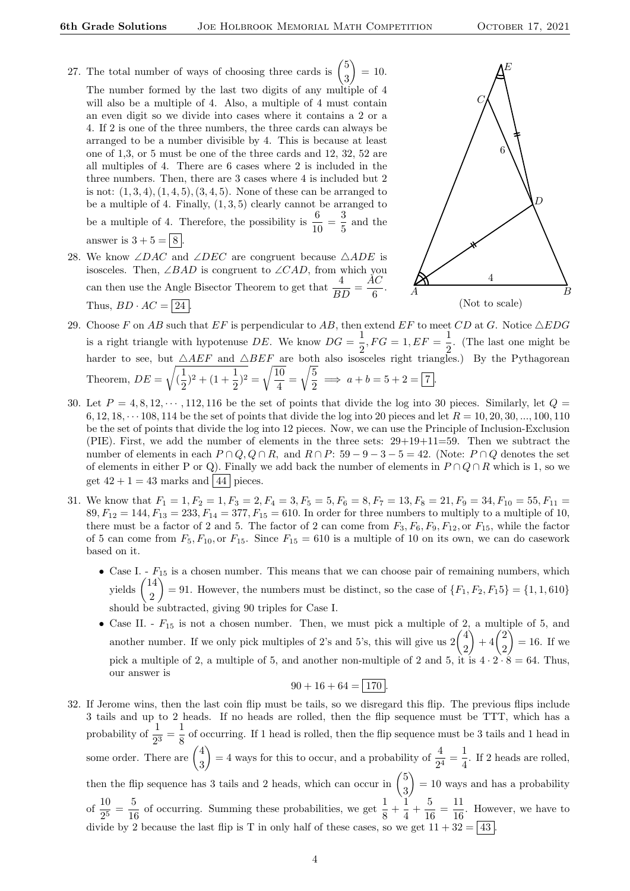- 27. The total number of ways of choosing three cards is  $\binom{5}{3}$ 3  $= 10.$ The number formed by the last two digits of any multiple of 4 will also be a multiple of 4. Also, a multiple of 4 must contain an even digit so we divide into cases where it contains a 2 or a 4. If 2 is one of the three numbers, the three cards can always be arranged to be a number divisible by 4. This is because at least one of 1,3, or 5 must be one of the three cards and 12, 32, 52 are all multiples of 4. There are 6 cases where 2 is included in the three numbers. Then, there are 3 cases where 4 is included but 2 is not:  $(1, 3, 4), (1, 4, 5), (3, 4, 5)$ . None of these can be arranged to be a multiple of 4. Finally,  $(1, 3, 5)$  clearly cannot be arranged to be a multiple of 4. Therefore, the possibility is  $\frac{6}{10} = \frac{3}{5}$  $\frac{3}{5}$  and the answer is  $3 + 5 = 8$
- 28. We know ∠DAC and ∠DEC are congruent because  $\triangle ADE$  is isosceles. Then, ∠BAD is congruent to ∠CAD, from which you can then use the Angle Bisector Theorem to get that  $\frac{4}{BD} = \frac{AC}{6}$  $\frac{16}{6}$ . Thus,  $BD \cdot AC = \boxed{24}$ .



- 29. Choose F on AB such that  $EF$  is perpendicular to AB, then extend  $EF$  to meet CD at G. Notice  $\triangle EDG$ is a right triangle with hypotenuse DE. We know  $DG = \frac{1}{2}$  $\frac{1}{2}$ ,  $FG = 1$ ,  $EF = \frac{1}{2}$  $\frac{1}{2}$ . (The last one might be harder to see, but  $\triangle AEF$  and  $\triangle BEF$  are both also isosceles right triangles.) By the Pythagorean Theorem,  $DE =$ <sup>1</sup>  $\left(\frac{1}{2}\right)$  $\frac{1}{2}$ )<sup>2</sup> + (1 +  $\frac{1}{2}$ )<sup>2</sup> =  $\sqrt{\frac{10}{4}}$  $\frac{1}{4}$  =  $\sqrt{5}$  $\frac{3}{2} \implies a + b = 5 + 2 = 7.$
- 30. Let  $P = 4, 8, 12, \dots, 112, 116$  be the set of points that divide the log into 30 pieces. Similarly, let  $Q =$ 6, 12, 18,  $\cdots$  108, 114 be the set of points that divide the log into 20 pieces and let  $R = 10, 20, 30, \ldots, 100, 110$ be the set of points that divide the log into 12 pieces. Now, we can use the Principle of Inclusion-Exclusion (PIE). First, we add the number of elements in the three sets:  $29+19+11=59$ . Then we subtract the number of elements in each  $P \cap Q$ ,  $Q \cap R$ , and  $R \cap P$ : 59 – 9 – 3 – 5 = 42. (Note:  $P \cap Q$  denotes the set of elements in either P or Q). Finally we add back the number of elements in  $P \cap Q \cap R$  which is 1, so we get  $42 + 1 = 43$  marks and  $\boxed{44}$  pieces.
- 31. We know that  $F_1 = 1, F_2 = 1, F_3 = 2, F_4 = 3, F_5 = 5, F_6 = 8, F_7 = 13, F_8 = 21, F_9 = 34, F_{10} = 55, F_{11} = 55$  $89, F_{12} = 144, F_{13} = 233, F_{14} = 377, F_{15} = 610$ . In order for three numbers to multiply to a multiple of 10, there must be a factor of 2 and 5. The factor of 2 can come from  $F_3, F_6, F_9, F_{12}$ , or  $F_{15}$ , while the factor of 5 can come from  $F_5, F_{10}$ , or  $F_{15}$ . Since  $F_{15} = 610$  is a multiple of 10 on its own, we can do casework based on it.
	- Case I.  $F_{15}$  is a chosen number. This means that we can choose pair of remaining numbers, which yields  $\binom{14}{8}$ 2 = 91. However, the numbers must be distinct, so the case of  ${F_1, F_2, F_15} = {1, 1, 610}$ should be subtracted, giving 90 triples for Case I.
	- Case II.  $F_{15}$  is not a chosen number. Then, we must pick a multiple of 2, a multiple of 5, and another number. If we only pick multiples of 2's and 5's, this will give us  $2\begin{pmatrix} 4 \\ 2 \end{pmatrix}$ 2  $^{2}$  + 4 $^{2}$ 2  $= 16.$  If we pick a multiple of 2, a multiple of 5, and another non-multiple of 2 and 5, it is  $4 \cdot 2 \cdot 8 = 64$ . Thus, our answer is

$$
90 + 16 + 64 = \boxed{170}.
$$

32. If Jerome wins, then the last coin flip must be tails, so we disregard this flip. The previous flips include 3 tails and up to 2 heads. If no heads are rolled, then the flip sequence must be TTT, which has a probability of  $\frac{1}{2^3} = \frac{1}{8}$  $\frac{1}{8}$  of occurring. If 1 head is rolled, then the flip sequence must be 3 tails and 1 head in some order. There are  $\begin{pmatrix} 4 \\ 2 \end{pmatrix}$ 3  $= 4$  ways for this to occur, and a probability of  $\frac{4}{2^4} = \frac{1}{4}$  $\frac{1}{4}$ . If 2 heads are rolled, then the flip sequence has 3 tails and 2 heads, which can occur in  $\binom{5}{3}$ 3  $= 10$  ways and has a probability of  $\frac{10}{2^5} = \frac{5}{10}$  $\frac{5}{16}$  of occurring. Summing these probabilities, we get  $\frac{1}{8} + \frac{1}{4}$  $\frac{1}{4} + \frac{5}{10}$  $\frac{5}{16} = \frac{11}{16}$  $\frac{11}{16}$ . However, we have to divide by 2 because the last flip is T in only half of these cases, so we get  $11 + 32 = 43$ .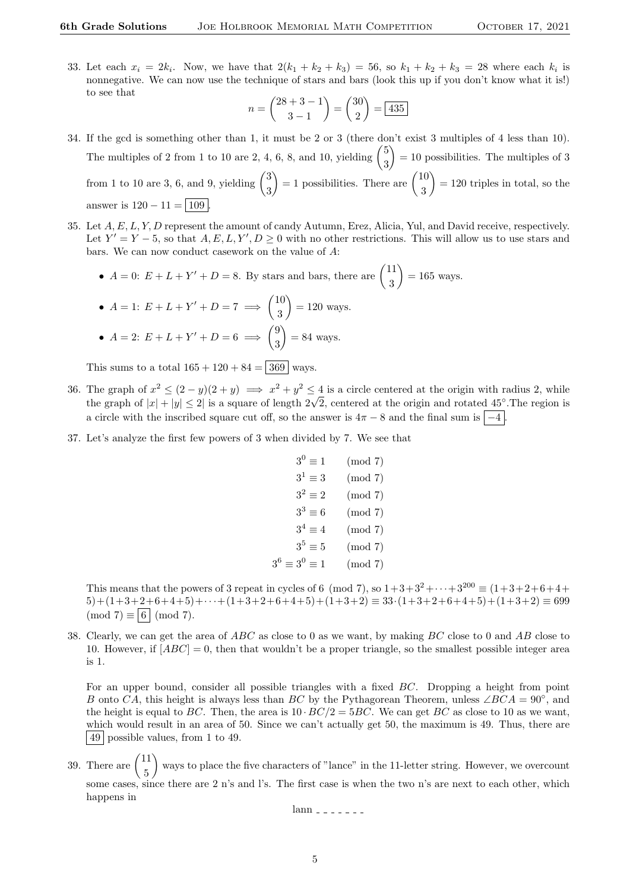33. Let each  $x_i = 2k_i$ . Now, we have that  $2(k_1 + k_2 + k_3) = 56$ , so  $k_1 + k_2 + k_3 = 28$  where each  $k_i$  is nonnegative. We can now use the technique of stars and bars (look this up if you don't know what it is!) to see that

$$
n = \binom{28+3-1}{3-1} = \binom{30}{2} = \boxed{435}
$$

- 34. If the gcd is something other than 1, it must be 2 or 3 (there don't exist 3 multiples of 4 less than 10). The multiples of 2 from 1 to 10 are 2, 4, 6, 8, and 10, yielding  $\binom{5}{3}$ 3  $= 10$  possibilities. The multiples of 3 from 1 to 10 are 3, 6, and 9, yielding  $\binom{3}{2}$ 3  $= 1$  possibilities. There are  $\binom{10}{3}$ 3  $= 120$  triples in total, so the answer is  $120 - 11 = |109|$
- 35. Let A, E, L, Y, D represent the amount of candy Autumn, Erez, Alicia, Yul, and David receive, respectively. Let  $Y' = Y - 5$ , so that  $A, E, L, Y', D \ge 0$  with no other restrictions. This will allow us to use stars and bars. We can now conduct casework on the value of A:

• 
$$
A = 0
$$
:  $E + L + Y' + D = 8$ . By stars and bars, there are  $\binom{11}{3} = 165$  ways.

• 
$$
A = 1: E + L + Y' + D = 7 \implies {10 \choose 3} = 120
$$
 ways.  
\n•  $A = 2: E + L + Y' + D = 6 \implies {9 \choose 3} = 84$  ways.

This sums to a total  $165 + 120 + 84 = 369$  ways.

- 36. The graph of  $x^2 \le (2 y)(2 + y) \implies x^2 + y^2 \le 4$  is a circle centered at the origin with radius 2, while The graph of  $|x| + |y| \le 2$  is a square of length  $2\sqrt{2}$ , centered at the origin and rotated 45°. The region is the graph of  $|x| + |y| \le 2$  is a square of length  $2\sqrt{2}$ , centered at the origin and rotated 45°. The region a circle with the inscribed square cut off, so the answer is  $4\pi - 8$  and the final sum is  $\vert -4 \vert$
- 37. Let's analyze the first few powers of 3 when divided by 7. We see that

$$
3^{0} \equiv 1 \pmod{7}
$$
  
\n
$$
3^{1} \equiv 3 \pmod{7}
$$
  
\n
$$
3^{2} \equiv 2 \pmod{7}
$$
  
\n
$$
3^{3} \equiv 6 \pmod{7}
$$
  
\n
$$
3^{4} \equiv 4 \pmod{7}
$$
  
\n
$$
3^{5} \equiv 5 \pmod{7}
$$
  
\n
$$
3^{6} \equiv 3^{0} \equiv 1 \pmod{7}
$$

This means that the powers of 3 repeat in cycles of 6 (mod 7), so  $1+3+3^2+\cdots+3^{200} \equiv (1+3+2+6+4+$  $5)+(1+3+2+6+4+5)+\cdots+(1+3+2+6+4+5)+(1+3+2) \equiv 33 \cdot (1+3+2+6+4+5)+(1+3+2) \equiv 699$  $(mod 7) \equiv 6 | (mod 7).$ 

38. Clearly, we can get the area of  $ABC$  as close to 0 as we want, by making  $BC$  close to 0 and AB close to 10. However, if  $[ABC] = 0$ , then that wouldn't be a proper triangle, so the smallest possible integer area is 1.

For an upper bound, consider all possible triangles with a fixed BC. Dropping a height from point B onto CA, this height is always less than BC by the Pythagorean Theorem, unless ∠BCA =  $90^{\circ}$ , and the height is equal to BC. Then, the area is  $10 \cdot BC/2 = 5BC$ . We can get BC as close to 10 as we want, which would result in an area of 50. Since we can't actually get 50, the maximum is 49. Thus, there are 49 possible values, from 1 to 49.

39. There are  $\begin{pmatrix} 11 \\ 7 \end{pmatrix}$ 5 ways to place the five characters of "lance" in the 11-letter string. However, we overcount some cases, since there are 2 n's and l's. The first case is when the two n's are next to each other, which happens in

 $lann$   $-$